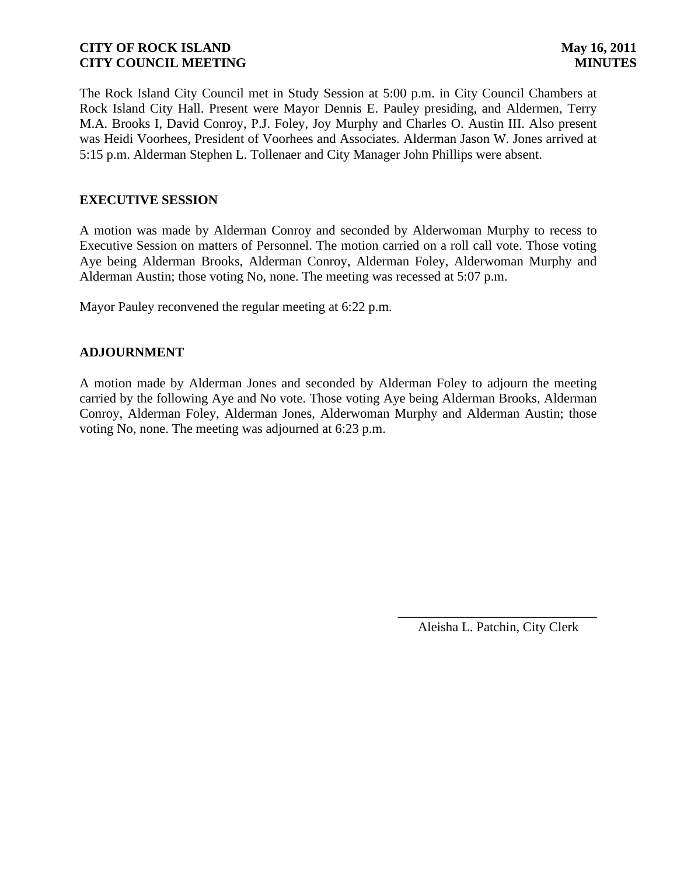The Rock Island City Council met in Study Session at 5:00 p.m. in City Council Chambers at Rock Island City Hall. Present were Mayor Dennis E. Pauley presiding, and Aldermen, Terry M.A. Brooks I, David Conroy, P.J. Foley, Joy Murphy and Charles O. Austin III. Also present was Heidi Voorhees, President of Voorhees and Associates. Alderman Jason W. Jones arrived at 5:15 p.m. Alderman Stephen L. Tollenaer and City Manager John Phillips were absent.

## **EXECUTIVE SESSION**

A motion was made by Alderman Conroy and seconded by Alderwoman Murphy to recess to Executive Session on matters of Personnel. The motion carried on a roll call vote. Those voting Aye being Alderman Brooks, Alderman Conroy, Alderman Foley, Alderwoman Murphy and Alderman Austin; those voting No, none. The meeting was recessed at 5:07 p.m.

Mayor Pauley reconvened the regular meeting at 6:22 p.m.

### **ADJOURNMENT**

A motion made by Alderman Jones and seconded by Alderman Foley to adjourn the meeting carried by the following Aye and No vote. Those voting Aye being Alderman Brooks, Alderman Conroy, Alderman Foley, Alderman Jones, Alderwoman Murphy and Alderman Austin; those voting No, none. The meeting was adjourned at 6:23 p.m.

> \_\_\_\_\_\_\_\_\_\_\_\_\_\_\_\_\_\_\_\_\_\_\_\_\_\_\_\_\_\_ Aleisha L. Patchin, City Clerk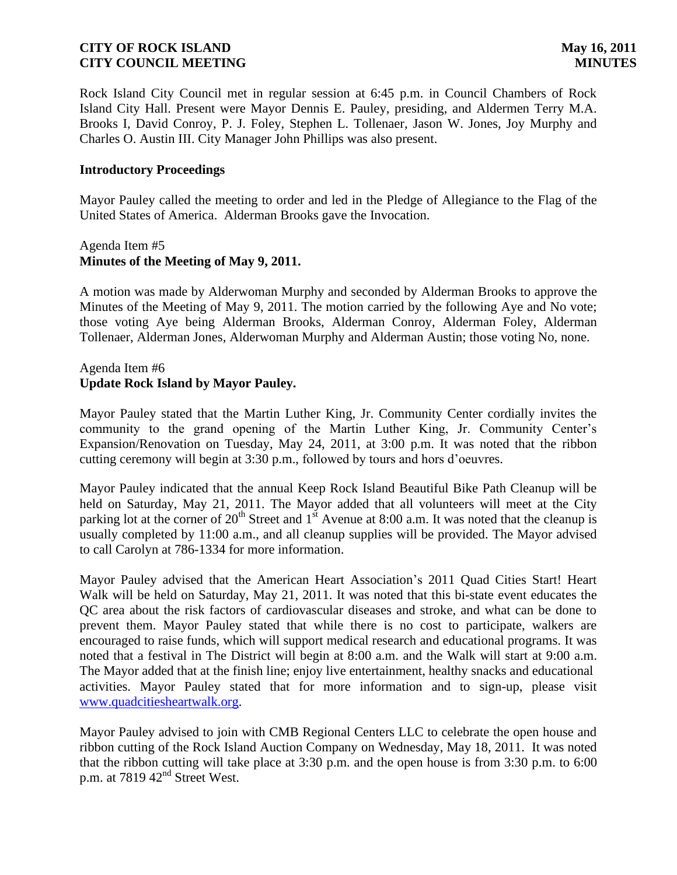Rock Island City Council met in regular session at 6:45 p.m. in Council Chambers of Rock Island City Hall. Present were Mayor Dennis E. Pauley, presiding, and Aldermen Terry M.A. Brooks I, David Conroy, P. J. Foley, Stephen L. Tollenaer, Jason W. Jones, Joy Murphy and Charles O. Austin III. City Manager John Phillips was also present.

### **Introductory Proceedings**

Mayor Pauley called the meeting to order and led in the Pledge of Allegiance to the Flag of the United States of America. Alderman Brooks gave the Invocation.

### Agenda Item #5 **Minutes of the Meeting of May 9, 2011.**

A motion was made by Alderwoman Murphy and seconded by Alderman Brooks to approve the Minutes of the Meeting of May 9, 2011. The motion carried by the following Aye and No vote; those voting Aye being Alderman Brooks, Alderman Conroy, Alderman Foley, Alderman Tollenaer, Alderman Jones, Alderwoman Murphy and Alderman Austin; those voting No, none.

## Agenda Item #6 **Update Rock Island by Mayor Pauley.**

Mayor Pauley stated that the Martin Luther King, Jr. Community Center cordially invites the community to the grand opening of the Martin Luther King, Jr. Community Center's Expansion/Renovation on Tuesday, May 24, 2011, at 3:00 p.m. It was noted that the ribbon cutting ceremony will begin at 3:30 p.m., followed by tours and hors d'oeuvres.

Mayor Pauley indicated that the annual Keep Rock Island Beautiful Bike Path Cleanup will be held on Saturday, May 21, 2011. The Mayor added that all volunteers will meet at the City parking lot at the corner of  $20<sup>th</sup>$  Street and 1<sup>st</sup> Avenue at 8:00 a.m. It was noted that the cleanup is usually completed by 11:00 a.m., and all cleanup supplies will be provided. The Mayor advised to call Carolyn at 786-1334 for more information.

Mayor Pauley advised that the American Heart Association's 2011 Quad Cities Start! Heart Walk will be held on Saturday, May 21, 2011. It was noted that this bi-state event educates the QC area about the risk factors of cardiovascular diseases and stroke, and what can be done to prevent them. Mayor Pauley stated that while there is no cost to participate, walkers are encouraged to raise funds, which will support medical research and educational programs. It was noted that a festival in The District will begin at 8:00 a.m. and the Walk will start at 9:00 a.m. The Mayor added that at the finish line; enjoy live entertainment, healthy snacks and educational activities. Mayor Pauley stated that for more information and to sign-up, please visit [www.quadcitiesheartwalk.org.](http://www.quadcitiesheartwalk.org/)

Mayor Pauley advised to join with CMB Regional Centers LLC to celebrate the open house and ribbon cutting of the Rock Island Auction Company on Wednesday, May 18, 2011. It was noted that the ribbon cutting will take place at 3:30 p.m. and the open house is from 3:30 p.m. to 6:00 p.m. at 7819  $42<sup>nd</sup>$  Street West.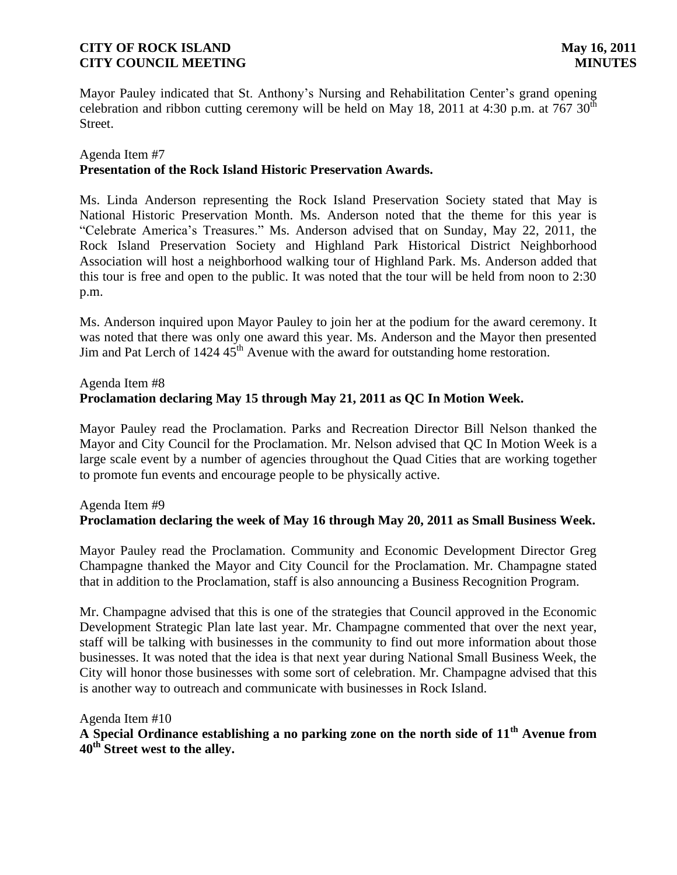Mayor Pauley indicated that St. Anthony's Nursing and Rehabilitation Center's grand opening celebration and ribbon cutting ceremony will be held on May 18, 2011 at 4:30 p.m. at 767  $30<sup>th</sup>$ Street.

## Agenda Item #7 **Presentation of the Rock Island Historic Preservation Awards.**

Ms. Linda Anderson representing the Rock Island Preservation Society stated that May is National Historic Preservation Month. Ms. Anderson noted that the theme for this year is "Celebrate America's Treasures." Ms. Anderson advised that on Sunday, May 22, 2011, the Rock Island Preservation Society and Highland Park Historical District Neighborhood Association will host a neighborhood walking tour of Highland Park. Ms. Anderson added that this tour is free and open to the public. It was noted that the tour will be held from noon to 2:30 p.m.

Ms. Anderson inquired upon Mayor Pauley to join her at the podium for the award ceremony. It was noted that there was only one award this year. Ms. Anderson and the Mayor then presented Jim and Pat Lerch of  $1424.45^{\text{th}}$  Avenue with the award for outstanding home restoration.

### Agenda Item #8 **Proclamation declaring May 15 through May 21, 2011 as QC In Motion Week.**

Mayor Pauley read the Proclamation. Parks and Recreation Director Bill Nelson thanked the Mayor and City Council for the Proclamation. Mr. Nelson advised that QC In Motion Week is a large scale event by a number of agencies throughout the Quad Cities that are working together to promote fun events and encourage people to be physically active.

# Agenda Item #9 **Proclamation declaring the week of May 16 through May 20, 2011 as Small Business Week.**

Mayor Pauley read the Proclamation. Community and Economic Development Director Greg Champagne thanked the Mayor and City Council for the Proclamation. Mr. Champagne stated that in addition to the Proclamation, staff is also announcing a Business Recognition Program.

Mr. Champagne advised that this is one of the strategies that Council approved in the Economic Development Strategic Plan late last year. Mr. Champagne commented that over the next year, staff will be talking with businesses in the community to find out more information about those businesses. It was noted that the idea is that next year during National Small Business Week, the City will honor those businesses with some sort of celebration. Mr. Champagne advised that this is another way to outreach and communicate with businesses in Rock Island.

Agenda Item #10

**A Special Ordinance establishing a no parking zone on the north side of 11th Avenue from 40th Street west to the alley.**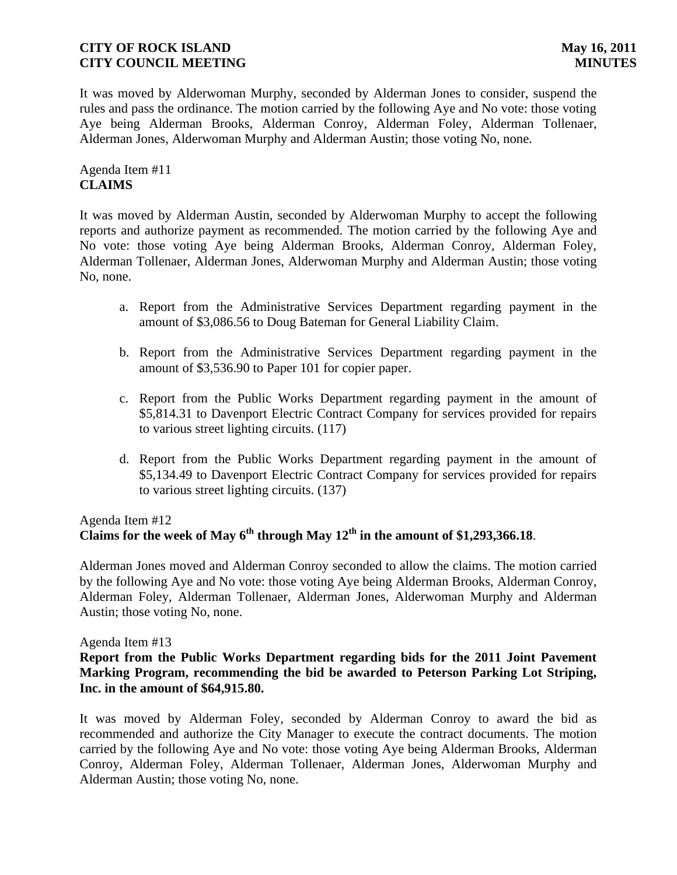It was moved by Alderwoman Murphy, seconded by Alderman Jones to consider, suspend the rules and pass the ordinance. The motion carried by the following Aye and No vote: those voting Aye being Alderman Brooks, Alderman Conroy, Alderman Foley, Alderman Tollenaer, Alderman Jones, Alderwoman Murphy and Alderman Austin; those voting No, none.

Agenda Item #11 **CLAIMS**

It was moved by Alderman Austin, seconded by Alderwoman Murphy to accept the following reports and authorize payment as recommended. The motion carried by the following Aye and No vote: those voting Aye being Alderman Brooks, Alderman Conroy, Alderman Foley, Alderman Tollenaer, Alderman Jones, Alderwoman Murphy and Alderman Austin; those voting No, none.

- a. Report from the Administrative Services Department regarding payment in the amount of \$3,086.56 to Doug Bateman for General Liability Claim.
- b. Report from the Administrative Services Department regarding payment in the amount of \$3,536.90 to Paper 101 for copier paper.
- c. Report from the Public Works Department regarding payment in the amount of \$5,814.31 to Davenport Electric Contract Company for services provided for repairs to various street lighting circuits. (117)
- d. Report from the Public Works Department regarding payment in the amount of \$5,134.49 to Davenport Electric Contract Company for services provided for repairs to various street lighting circuits. (137)

# Agenda Item #12 Claims for the week of May  $6^{th}$  through May  $12^{th}$  in the amount of \$1,293,366.18.

Alderman Jones moved and Alderman Conroy seconded to allow the claims. The motion carried by the following Aye and No vote: those voting Aye being Alderman Brooks, Alderman Conroy, Alderman Foley, Alderman Tollenaer, Alderman Jones, Alderwoman Murphy and Alderman Austin; those voting No, none.

### Agenda Item #13

## **Report from the Public Works Department regarding bids for the 2011 Joint Pavement Marking Program, recommending the bid be awarded to Peterson Parking Lot Striping, Inc. in the amount of \$64,915.80.**

It was moved by Alderman Foley, seconded by Alderman Conroy to award the bid as recommended and authorize the City Manager to execute the contract documents. The motion carried by the following Aye and No vote: those voting Aye being Alderman Brooks, Alderman Conroy, Alderman Foley, Alderman Tollenaer, Alderman Jones, Alderwoman Murphy and Alderman Austin; those voting No, none.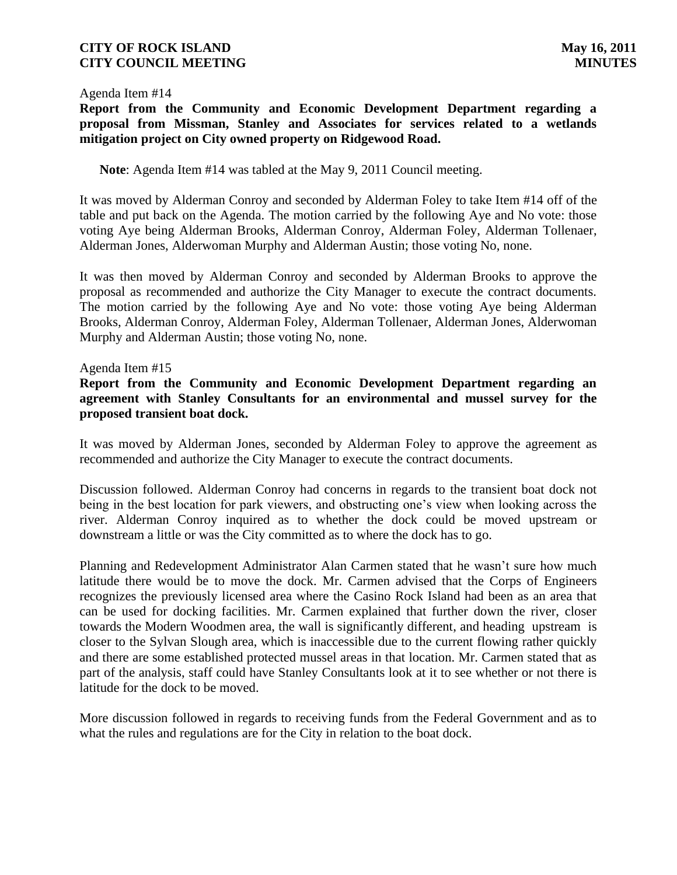#### Agenda Item #14

**Report from the Community and Economic Development Department regarding a proposal from Missman, Stanley and Associates for services related to a wetlands mitigation project on City owned property on Ridgewood Road.**

**Note**: Agenda Item #14 was tabled at the May 9, 2011 Council meeting.

It was moved by Alderman Conroy and seconded by Alderman Foley to take Item #14 off of the table and put back on the Agenda. The motion carried by the following Aye and No vote: those voting Aye being Alderman Brooks, Alderman Conroy, Alderman Foley, Alderman Tollenaer, Alderman Jones, Alderwoman Murphy and Alderman Austin; those voting No, none.

It was then moved by Alderman Conroy and seconded by Alderman Brooks to approve the proposal as recommended and authorize the City Manager to execute the contract documents. The motion carried by the following Aye and No vote: those voting Aye being Alderman Brooks, Alderman Conroy, Alderman Foley, Alderman Tollenaer, Alderman Jones, Alderwoman Murphy and Alderman Austin; those voting No, none.

### Agenda Item #15

**Report from the Community and Economic Development Department regarding an agreement with Stanley Consultants for an environmental and mussel survey for the proposed transient boat dock.**

It was moved by Alderman Jones, seconded by Alderman Foley to approve the agreement as recommended and authorize the City Manager to execute the contract documents.

Discussion followed. Alderman Conroy had concerns in regards to the transient boat dock not being in the best location for park viewers, and obstructing one's view when looking across the river. Alderman Conroy inquired as to whether the dock could be moved upstream or downstream a little or was the City committed as to where the dock has to go.

Planning and Redevelopment Administrator Alan Carmen stated that he wasn't sure how much latitude there would be to move the dock. Mr. Carmen advised that the Corps of Engineers recognizes the previously licensed area where the Casino Rock Island had been as an area that can be used for docking facilities. Mr. Carmen explained that further down the river, closer towards the Modern Woodmen area, the wall is significantly different, and heading upstream is closer to the Sylvan Slough area, which is inaccessible due to the current flowing rather quickly and there are some established protected mussel areas in that location. Mr. Carmen stated that as part of the analysis, staff could have Stanley Consultants look at it to see whether or not there is latitude for the dock to be moved.

More discussion followed in regards to receiving funds from the Federal Government and as to what the rules and regulations are for the City in relation to the boat dock.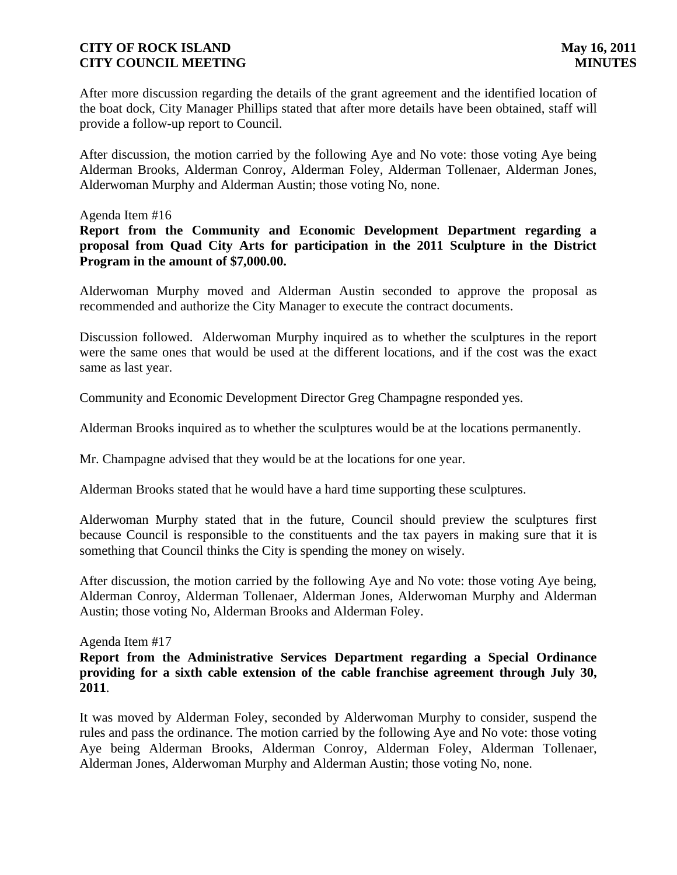After more discussion regarding the details of the grant agreement and the identified location of the boat dock, City Manager Phillips stated that after more details have been obtained, staff will provide a follow-up report to Council.

After discussion, the motion carried by the following Aye and No vote: those voting Aye being Alderman Brooks, Alderman Conroy, Alderman Foley, Alderman Tollenaer, Alderman Jones, Alderwoman Murphy and Alderman Austin; those voting No, none.

### Agenda Item #16

**Report from the Community and Economic Development Department regarding a proposal from Quad City Arts for participation in the 2011 Sculpture in the District Program in the amount of \$7,000.00.**

Alderwoman Murphy moved and Alderman Austin seconded to approve the proposal as recommended and authorize the City Manager to execute the contract documents.

Discussion followed. Alderwoman Murphy inquired as to whether the sculptures in the report were the same ones that would be used at the different locations, and if the cost was the exact same as last year.

Community and Economic Development Director Greg Champagne responded yes.

Alderman Brooks inquired as to whether the sculptures would be at the locations permanently.

Mr. Champagne advised that they would be at the locations for one year.

Alderman Brooks stated that he would have a hard time supporting these sculptures.

Alderwoman Murphy stated that in the future, Council should preview the sculptures first because Council is responsible to the constituents and the tax payers in making sure that it is something that Council thinks the City is spending the money on wisely.

After discussion, the motion carried by the following Aye and No vote: those voting Aye being, Alderman Conroy, Alderman Tollenaer, Alderman Jones, Alderwoman Murphy and Alderman Austin; those voting No, Alderman Brooks and Alderman Foley.

Agenda Item #17

**Report from the Administrative Services Department regarding a Special Ordinance providing for a sixth cable extension of the cable franchise agreement through July 30, 2011**.

It was moved by Alderman Foley, seconded by Alderwoman Murphy to consider, suspend the rules and pass the ordinance. The motion carried by the following Aye and No vote: those voting Aye being Alderman Brooks, Alderman Conroy, Alderman Foley, Alderman Tollenaer, Alderman Jones, Alderwoman Murphy and Alderman Austin; those voting No, none.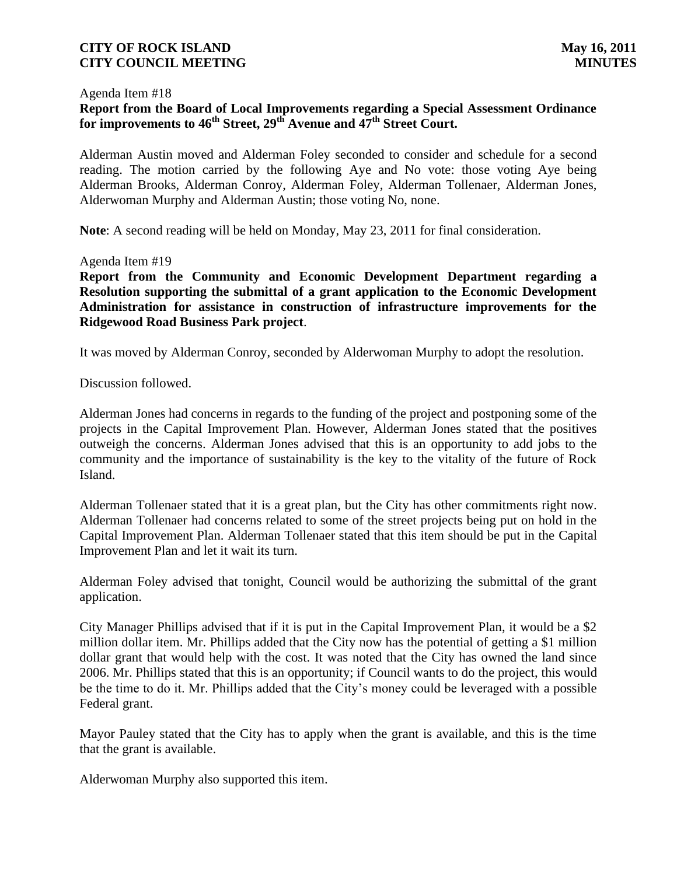#### Agenda Item #18

# **Report from the Board of Local Improvements regarding a Special Assessment Ordinance for improvements to 46th Street, 29th Avenue and 47th Street Court.**

Alderman Austin moved and Alderman Foley seconded to consider and schedule for a second reading. The motion carried by the following Aye and No vote: those voting Aye being Alderman Brooks, Alderman Conroy, Alderman Foley, Alderman Tollenaer, Alderman Jones, Alderwoman Murphy and Alderman Austin; those voting No, none.

**Note**: A second reading will be held on Monday, May 23, 2011 for final consideration.

#### Agenda Item #19

**Report from the Community and Economic Development Department regarding a Resolution supporting the submittal of a grant application to the Economic Development Administration for assistance in construction of infrastructure improvements for the Ridgewood Road Business Park project**.

It was moved by Alderman Conroy, seconded by Alderwoman Murphy to adopt the resolution.

Discussion followed.

Alderman Jones had concerns in regards to the funding of the project and postponing some of the projects in the Capital Improvement Plan. However, Alderman Jones stated that the positives outweigh the concerns. Alderman Jones advised that this is an opportunity to add jobs to the community and the importance of sustainability is the key to the vitality of the future of Rock Island.

Alderman Tollenaer stated that it is a great plan, but the City has other commitments right now. Alderman Tollenaer had concerns related to some of the street projects being put on hold in the Capital Improvement Plan. Alderman Tollenaer stated that this item should be put in the Capital Improvement Plan and let it wait its turn.

Alderman Foley advised that tonight, Council would be authorizing the submittal of the grant application.

City Manager Phillips advised that if it is put in the Capital Improvement Plan, it would be a \$2 million dollar item. Mr. Phillips added that the City now has the potential of getting a \$1 million dollar grant that would help with the cost. It was noted that the City has owned the land since 2006. Mr. Phillips stated that this is an opportunity; if Council wants to do the project, this would be the time to do it. Mr. Phillips added that the City's money could be leveraged with a possible Federal grant.

Mayor Pauley stated that the City has to apply when the grant is available, and this is the time that the grant is available.

Alderwoman Murphy also supported this item.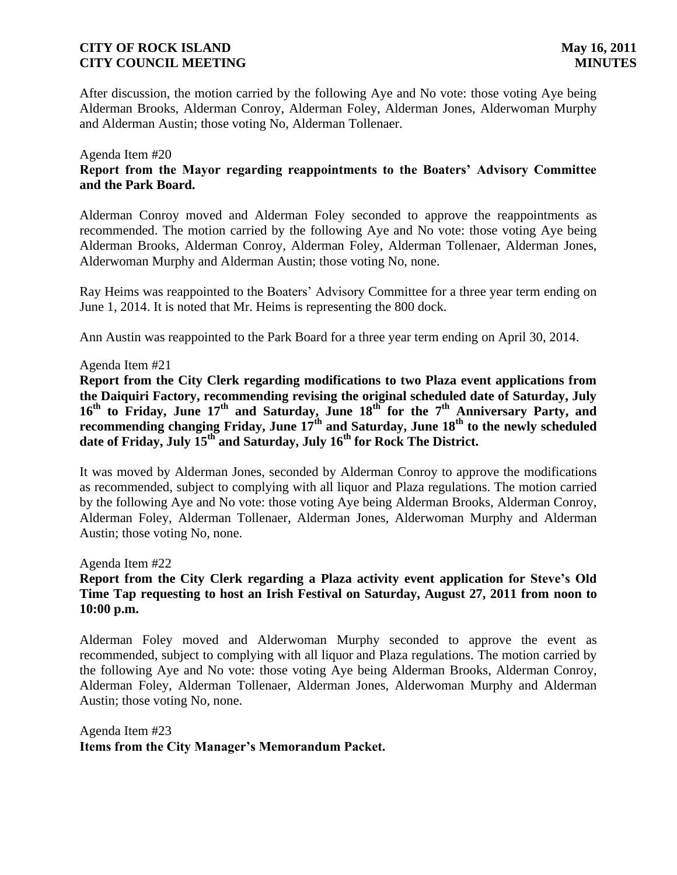After discussion, the motion carried by the following Aye and No vote: those voting Aye being Alderman Brooks, Alderman Conroy, Alderman Foley, Alderman Jones, Alderwoman Murphy and Alderman Austin; those voting No, Alderman Tollenaer.

### Agenda Item #20 **Report from the Mayor regarding reappointments to the Boaters' Advisory Committee and the Park Board.**

Alderman Conroy moved and Alderman Foley seconded to approve the reappointments as recommended. The motion carried by the following Aye and No vote: those voting Aye being Alderman Brooks, Alderman Conroy, Alderman Foley, Alderman Tollenaer, Alderman Jones, Alderwoman Murphy and Alderman Austin; those voting No, none.

Ray Heims was reappointed to the Boaters' Advisory Committee for a three year term ending on June 1, 2014. It is noted that Mr. Heims is representing the 800 dock.

Ann Austin was reappointed to the Park Board for a three year term ending on April 30, 2014.

### Agenda Item #21

**Report from the City Clerk regarding modifications to two Plaza event applications from the Daiquiri Factory, recommending revising the original scheduled date of Saturday, July 16th to Friday, June 17th and Saturday, June 18th for the 7th Anniversary Party, and recommending changing Friday, June 17th and Saturday, June 18th to the newly scheduled date of Friday, July 15th and Saturday, July 16th for Rock The District.** 

It was moved by Alderman Jones, seconded by Alderman Conroy to approve the modifications as recommended, subject to complying with all liquor and Plaza regulations. The motion carried by the following Aye and No vote: those voting Aye being Alderman Brooks, Alderman Conroy, Alderman Foley, Alderman Tollenaer, Alderman Jones, Alderwoman Murphy and Alderman Austin; those voting No, none.

Agenda Item #22

## **Report from the City Clerk regarding a Plaza activity event application for Steve's Old Time Tap requesting to host an Irish Festival on Saturday, August 27, 2011 from noon to 10:00 p.m.**

Alderman Foley moved and Alderwoman Murphy seconded to approve the event as recommended, subject to complying with all liquor and Plaza regulations. The motion carried by the following Aye and No vote: those voting Aye being Alderman Brooks, Alderman Conroy, Alderman Foley, Alderman Tollenaer, Alderman Jones, Alderwoman Murphy and Alderman Austin; those voting No, none.

Agenda Item #23 **Items from the City Manager's Memorandum Packet.**